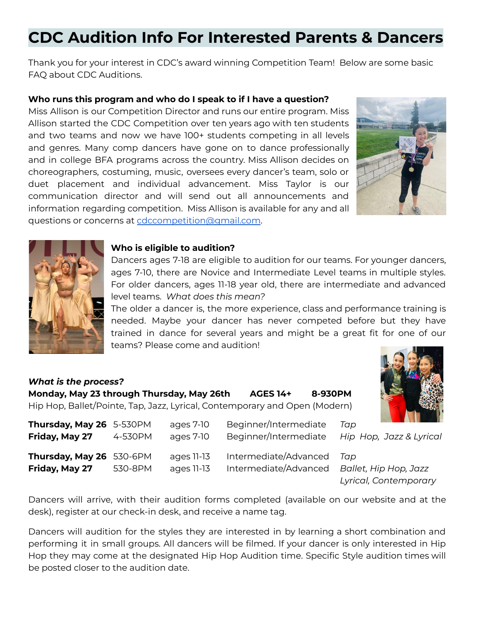# **CDC Audition Info For Interested Parents & Dancers**

Thank you for your interest in CDC's award winning Competition Team! Below are some basic FAQ about CDC Auditions.

## **Who runs this program and who do I speak to if I have a question?**

Miss Allison is our Competition Director and runs our entire program. Miss Allison started the CDC Competition over ten years ago with ten students and two teams and now we have 100+ students competing in all levels and genres. Many comp dancers have gone on to dance professionally and in college BFA programs across the country. Miss Allison decides on choreographers, costuming, music, oversees every dancer's team, solo or duet placement and individual advancement. Miss Taylor is our communication director and will send out all announcements and information regarding competition. Miss Allison is available for any and all questions or concerns at [cdccompetition@gmail.com](mailto:cdccompetition@gmail.com).





#### **Who is eligible to audition?**

Dancers ages 7-18 are eligible to audition for our teams. For younger dancers, ages 7-10, there are Novice and Intermediate Level teams in multiple styles. For older dancers, ages 11-18 year old, there are intermediate and advanced level teams. *What does this mean?*

The older a dancer is, the more experience, class and performance training is needed. Maybe your dancer has never competed before but they have trained in dance for several years and might be a great fit for one of our teams? Please come and audition!

## *What is the process?*

|  | Monday, May 23 through Thursday, May 26th | <b>AGES 14+</b>                                                            | 8-930PM |
|--|-------------------------------------------|----------------------------------------------------------------------------|---------|
|  |                                           | Hip Hop, Ballet/Pointe, Tap, Jazz, Lyrical, Contemporary and Open (Modern) |         |

| Thursday, May 26 5-530PM<br>Friday, May 27 | 4-530PM | ages 7-10<br>ages 7-10   | Beginner/Intermediate<br>Beginner/Intermediate | Tap<br>Hip Hop, Jazz & Lyrical                        |
|--------------------------------------------|---------|--------------------------|------------------------------------------------|-------------------------------------------------------|
| Thursday, May 26 530-6PM<br>Friday, May 27 | 530-8PM | ages 11-13<br>ages 11-13 | Intermediate/Advanced<br>Intermediate/Advanced | Tan<br>Ballet, Hip Hop, Jazz<br>Lyrical, Contemporary |

Dancers will arrive, with their audition forms completed (available on our website and at the desk), register at our check-in desk, and receive a name tag.

Dancers will audition for the styles they are interested in by learning a short combination and performing it in small groups. All dancers will be filmed. If your dancer is only interested in Hip Hop they may come at the designated Hip Hop Audition time. Specific Style audition times will be posted closer to the audition date.